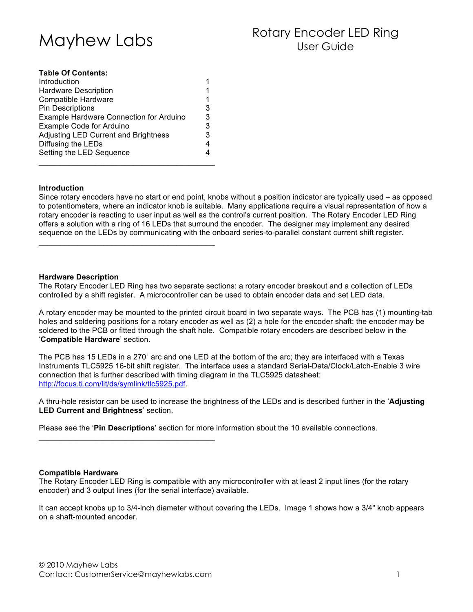| <b>Table Of Contents:</b>                   |   |
|---------------------------------------------|---|
| Introduction                                |   |
| <b>Hardware Description</b>                 |   |
| Compatible Hardware                         |   |
| <b>Pin Descriptions</b>                     | 3 |
| Example Hardware Connection for Arduino     | 3 |
| Example Code for Arduino                    | 3 |
| <b>Adjusting LED Current and Brightness</b> | 3 |
| Diffusing the LEDs                          | 4 |
| Setting the LED Sequence                    | 4 |
|                                             |   |

 $\mathcal{L}_\text{max}$  , where  $\mathcal{L}_\text{max}$  , we are the set of the set of the set of the set of the set of the set of the set of the set of the set of the set of the set of the set of the set of the set of the set of the set of

### **Introduction**

Since rotary encoders have no start or end point, knobs without a position indicator are typically used – as opposed to potentiometers, where an indicator knob is suitable. Many applications require a visual representation of how a rotary encoder is reacting to user input as well as the control's current position. The Rotary Encoder LED Ring offers a solution with a ring of 16 LEDs that surround the encoder. The designer may implement any desired sequence on the LEDs by communicating with the onboard series-to-parallel constant current shift register.

### **Hardware Description**

The Rotary Encoder LED Ring has two separate sections: a rotary encoder breakout and a collection of LEDs controlled by a shift register. A microcontroller can be used to obtain encoder data and set LED data.

A rotary encoder may be mounted to the printed circuit board in two separate ways. The PCB has (1) mounting-tab holes and soldering positions for a rotary encoder as well as (2) a hole for the encoder shaft: the encoder may be soldered to the PCB or fitted through the shaft hole. Compatible rotary encoders are described below in the '**Compatible Hardware**' section.

The PCB has 15 LEDs in a 270˚ arc and one LED at the bottom of the arc; they are interfaced with a Texas Instruments TLC5925 16-bit shift register. The interface uses a standard Serial-Data/Clock/Latch-Enable 3 wire connection that is further described with timing diagram in the TLC5925 datasheet: http://focus.ti.com/lit/ds/symlink/tlc5925.pdf.

A thru-hole resistor can be used to increase the brightness of the LEDs and is described further in the '**Adjusting LED Current and Brightness**' section.

Please see the '**Pin Descriptions**' section for more information about the 10 available connections.

### **Compatible Hardware**

The Rotary Encoder LED Ring is compatible with any microcontroller with at least 2 input lines (for the rotary encoder) and 3 output lines (for the serial interface) available.

It can accept knobs up to 3/4-inch diameter without covering the LEDs. Image 1 shows how a 3/4" knob appears on a shaft-mounted encoder.

\_\_\_\_\_\_\_\_\_\_\_\_\_\_\_\_\_\_\_\_\_\_\_\_\_\_\_\_\_\_\_\_\_\_\_\_\_\_\_\_\_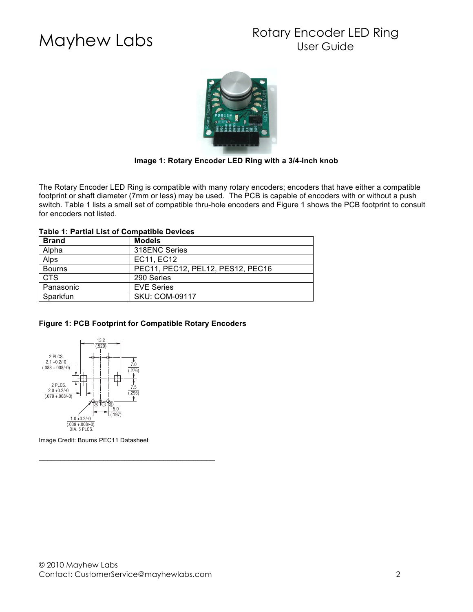# Mayhew Labs Rotary Encoder LED Ring User Guide



## **Image 1: Rotary Encoder LED Ring with a 3/4-inch knob**

The Rotary Encoder LED Ring is compatible with many rotary encoders; encoders that have either a compatible footprint or shaft diameter (7mm or less) may be used. The PCB is capable of encoders with or without a push switch. Table 1 lists a small set of compatible thru-hole encoders and Figure 1 shows the PCB footprint to consult Franchi Parre There is a

# Table 1: Partial List of Compatible Devices

| <b>Brand</b>  | <b>Models</b>                     |
|---------------|-----------------------------------|
| Alpha         | 318ENC Series                     |
| Alps          | EC11, EC12                        |
| <b>Bourns</b> | PEC11, PEC12, PEL12, PES12, PEC16 |
| <b>CTS</b>    | 290 Series                        |
| Panasonic     | <b>EVE Series</b>                 |
| Sparkfun      | <b>SKU: COM-09117</b>             |

## **Figure 1: PCB Footprint for Compatible Rotary Encoders**



Image Credit: Bourns PEC11 Datasheet

DIMENSIONS: MM

 $\mathcal{L}_\text{max}$  , where  $\mathcal{L}_\text{max}$  , we are the set of the set of the set of the set of the set of the set of the set of the set of the set of the set of the set of the set of the set of the set of the set of the set of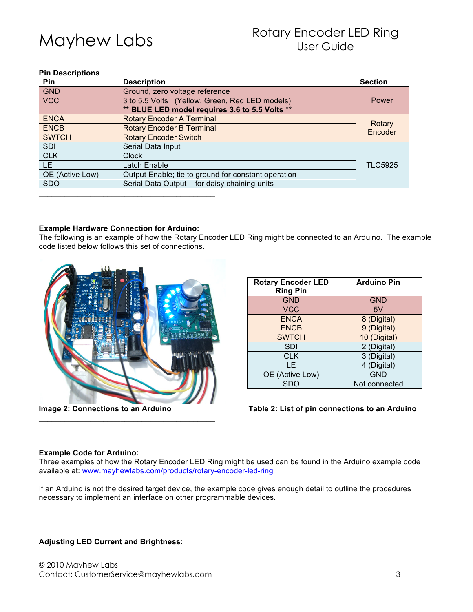### **Pin Descriptions**

| Pin             | <b>Description</b>                                  | <b>Section</b>    |  |
|-----------------|-----------------------------------------------------|-------------------|--|
| <b>GND</b>      | Ground, zero voltage reference                      |                   |  |
| <b>VCC</b>      | 3 to 5.5 Volts (Yellow, Green, Red LED models)      | Power             |  |
|                 | ** BLUE LED model requires 3.6 to 5.5 Volts **      |                   |  |
| <b>ENCA</b>     | <b>Rotary Encoder A Terminal</b>                    |                   |  |
| <b>ENCB</b>     | <b>Rotary Encoder B Terminal</b>                    | Rotary<br>Encoder |  |
| <b>SWTCH</b>    | <b>Rotary Encoder Switch</b>                        |                   |  |
| <b>SDI</b>      | Serial Data Input                                   |                   |  |
| <b>CLK</b>      | Clock                                               |                   |  |
| LE.             | Latch Enable                                        | <b>TLC5925</b>    |  |
| OE (Active Low) | Output Enable; tie to ground for constant operation |                   |  |
| <b>SDO</b>      | Serial Data Output - for daisy chaining units       |                   |  |
|                 |                                                     |                   |  |

### **Example Hardware Connection for Arduino:**

The following is an example of how the Rotary Encoder LED Ring might be connected to an Arduino. The example code listed below follows this set of connections.



| <b>Rotary Encoder LED</b><br><b>Ring Pin</b> | <b>Arduino Pin</b> |
|----------------------------------------------|--------------------|
| <b>GND</b>                                   | <b>GND</b>         |
| <b>VCC</b>                                   | 5V                 |
| <b>ENCA</b>                                  | 8 (Digital)        |
| <b>ENCB</b>                                  | 9 (Digital)        |
| <b>SWTCH</b>                                 | 10 (Digital)       |
| <b>SDI</b>                                   | 2 (Digital)        |
| <b>CLK</b>                                   | 3 (Digital)        |
| LE                                           | 4 (Digital)        |
| OE (Active Low)                              | <b>GND</b>         |
| SDC                                          | Not connected      |

### **Example Code for Arduino:**

Three examples of how the Rotary Encoder LED Ring might be used can be found in the Arduino example code available at: www.mayhewlabs.com/products/rotary-encoder-led-ring

If an Arduino is not the desired target device, the example code gives enough detail to outline the procedures necessary to implement an interface on other programmable devices.

### **Adjusting LED Current and Brightness:**

 $\mathcal{L}_\text{max}$  , where  $\mathcal{L}_\text{max}$  , we are the set of the set of the set of the set of the set of the set of the set of the set of the set of the set of the set of the set of the set of the set of the set of the set of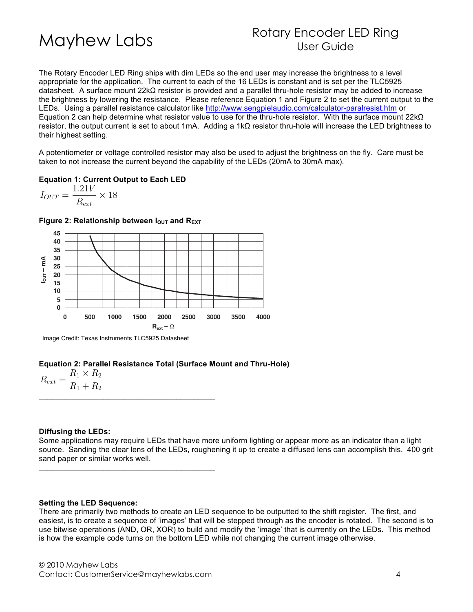# Mayhew Labs Rotary Encoder LED Ring User Guide

The Rotary Encoder LED Ring ships with dim LEDs so the end user may increase the brightness to a level appropriate for the application. The current to each of the 16 LEDs is constant and is set per the TLC5925 datasheet. A surface mount 22kΩ resistor is provided and a parallel thru-hole resistor may be added to increase the brightness by lowering the resistance. Please reference Equation 1 and Figure 2 to set the current output to the LEDs. Using a parallel resistance calculator like http://www.sengpielaudio.com/calculator-paralresist.htm or Equation 2 can help determine what resistor value to use for the thru-hole resistor. With the surface mount 22kΩ resistor, the output current is set to about 1mA. Adding a 1kΩ resistor thru-hole will increase the LED brightness to their highest setting. **Operating Principles** USer Guide<br>
USer Guide<br>
We with the mean of the 16 LEDs is constant and is set performed to each of the 16 LEDs is constant and is set proton<br>
The propose constant and a parallel thru-hole resistor may<br>
tracted a set perfo their highest setting. While it is less than  $\mathcal{L}_1$  and between  $\mathcal{L}_2$  and between ICs is less than  $\mathcal{L}_2$  is less than  $\mathcal{L}_3$  and between ICs is less than  $\mathcal{L}_3$  and between ICs is less than  $\mathcal{L}_4$  and

A potentiometer or voltage controlled resistor may also be used to adjust the brightness on the fly. Care must be taken to not increase the current beyond the capability of the LEDs (20mA to 30mA max).

### **Equation 1: Current Output to Each LED**  $t_{\text{equation}}$  is current output in the saturation region of  $1.91V$

$$
I_{OUT} = \frac{1.21V}{R_{ext}} \times 18
$$



Figure 2: Relationship between I<sub>OUT</sub> and R<sub>EXT</sub>

 $\mathcal{L}_\text{max}$  , where  $\mathcal{L}_\text{max}$  , we are the set of the set of the set of the set of the set of the set of the set of the set of the set of the set of the set of the set of the set of the set of the set of the set of

 $\mathcal{L}_\text{max}$  , where  $\mathcal{L}_\text{max}$  , we are the set of the set of the set of the set of the set of the set of the set of the set of the set of the set of the set of the set of the set of the set of the set of the set of

## **Equation 2: Parallel Resistance Total (Surface Mount and Thru-Hole)**

$$
R_{ext} = \frac{R_1 \times R_2}{R_1 + R_2}
$$

### **Diffusing the LEDs:**

Some applications may require LEDs that have more uniform lighting or appear more as an indicator than a light source. Sanding the clear lens of the LEDs, roughening it up to create a diffused lens can accomplish this. 400 grit sand paper or similar works well.

### **Setting the LED Sequence:**

There are primarily two methods to create an LED sequence to be outputted to the shift register. The first, and easiest, is to create a sequence of 'images' that will be stepped through as the encoder is rotated. The second is to use bitwise operations (AND, OR, XOR) to build and modify the 'image' that is currently on the LEDs. This method is how the example code turns on the bottom LED while not changing the current image otherwise.

**Image Credit: Texas Instruments TLC5925 Datasheet**